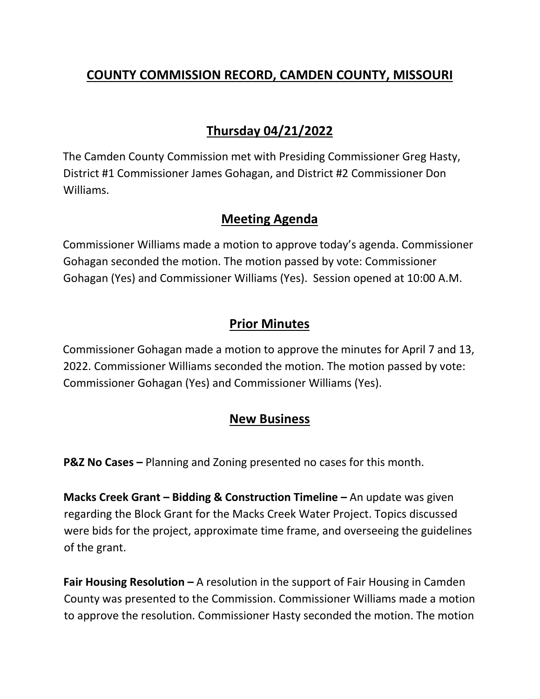## **COUNTY COMMISSION RECORD, CAMDEN COUNTY, MISSOURI**

# **Thursday 04/21/2022**

The Camden County Commission met with Presiding Commissioner Greg Hasty, District #1 Commissioner James Gohagan, and District #2 Commissioner Don Williams.

#### **Meeting Agenda**

Commissioner Williams made a motion to approve today's agenda. Commissioner Gohagan seconded the motion. The motion passed by vote: Commissioner Gohagan (Yes) and Commissioner Williams (Yes). Session opened at 10:00 A.M.

## **Prior Minutes**

Commissioner Gohagan made a motion to approve the minutes for April 7 and 13, 2022. Commissioner Williams seconded the motion. The motion passed by vote: Commissioner Gohagan (Yes) and Commissioner Williams (Yes).

# **New Business**

**P&Z No Cases –** Planning and Zoning presented no cases for this month.

**Macks Creek Grant – Bidding & Construction Timeline –** An update was given regarding the Block Grant for the Macks Creek Water Project. Topics discussed were bids for the project, approximate time frame, and overseeing the guidelines of the grant.

**Fair Housing Resolution –** A resolution in the support of Fair Housing in Camden County was presented to the Commission. Commissioner Williams made a motion to approve the resolution. Commissioner Hasty seconded the motion. The motion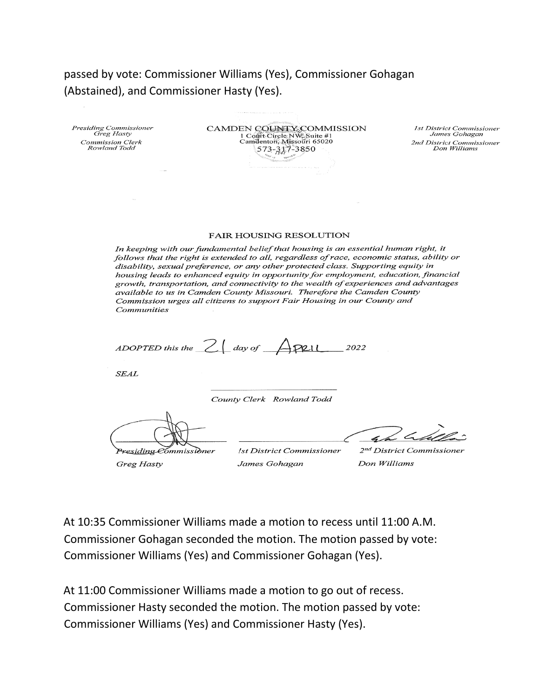passed by vote: Commissioner Williams (Yes), Commissioner Gohagan (Abstained), and Commissioner Hasty (Yes).

| Presiding Commissioner<br>Greg Hasty    |  |
|-----------------------------------------|--|
| <i>Commission Clerk</i><br>Rowland Todd |  |

CAMDEN COUNTY COMMISSION 1 Contr.Circle NW Suite #1<br>Camdenton, Missouri 65020 573-317-3850

1st District Commissioner James Gohagan 2nd District Commissioner Don Williams

#### **FAIR HOUSING RESOLUTION**

In keeping with our fundamental belief that housing is an essential human right, it follows that the right is extended to all, regardless of race, economic status, ability or disability, sexual preference, or any other protected class. Supporting equity in housing leads to enhanced equity in opportunity for employment, education, financial growth, transportation, and connectivity to the wealth of experiences and advantages available to us in Camden County Missouri. Therefore the Camden County Commission urges all citizens to support Fair Housing in our County and Communities

ADOPTED this the  $2 \mid$  day of  $\bigcap_{\mathcal{P}}$  P2.11 2022

**SEAL** 

County Clerk Rowland Todd

Pre<u>siding</u> Commissidner Greg Hasty

**Ist District Commissioner** James Gohagan

 $4/2<sub>4</sub>$ 

2<sup>nd</sup> District Commissioner Don Williams

At 10:35 Commissioner Williams made a motion to recess until 11:00 A.M. Commissioner Gohagan seconded the motion. The motion passed by vote: Commissioner Williams (Yes) and Commissioner Gohagan (Yes).

At 11:00 Commissioner Williams made a motion to go out of recess. Commissioner Hasty seconded the motion. The motion passed by vote: Commissioner Williams (Yes) and Commissioner Hasty (Yes).